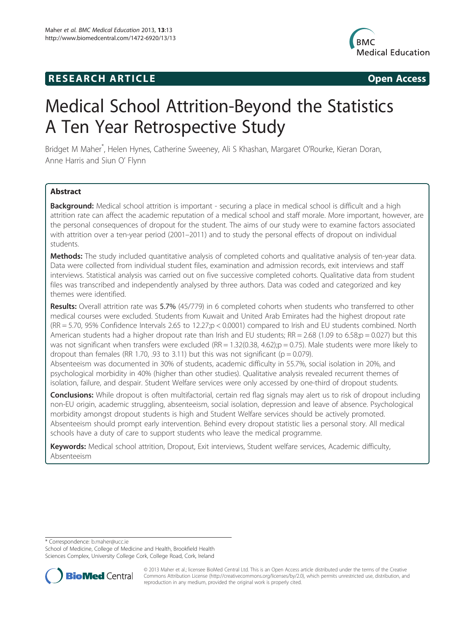## **RESEARCH ARTICLE Example 2008 CONSIDERING CONSIDERING CONSIDERING CONSIDERING CONSIDERING CONSIDERING CONSIDERING CONSIDERING CONSIDERING CONSIDERING CONSIDERING CONSIDERING CONSIDERING CONSIDERING CONSIDERING CONSIDE**



# Medical School Attrition-Beyond the Statistics A Ten Year Retrospective Study

Bridget M Maher\* , Helen Hynes, Catherine Sweeney, Ali S Khashan, Margaret O'Rourke, Kieran Doran, Anne Harris and Siun O' Flynn

## **Abstract**

**Background:** Medical school attrition is important - securing a place in medical school is difficult and a high attrition rate can affect the academic reputation of a medical school and staff morale. More important, however, are the personal consequences of dropout for the student. The aims of our study were to examine factors associated with attrition over a ten-year period (2001–2011) and to study the personal effects of dropout on individual students.

Methods: The study included quantitative analysis of completed cohorts and qualitative analysis of ten-year data. Data were collected from individual student files, examination and admission records, exit interviews and staff interviews. Statistical analysis was carried out on five successive completed cohorts. Qualitative data from student files was transcribed and independently analysed by three authors. Data was coded and categorized and key themes were identified.

Results: Overall attrition rate was 5.7% (45/779) in 6 completed cohorts when students who transferred to other medical courses were excluded. Students from Kuwait and United Arab Emirates had the highest dropout rate (RR = 5.70, 95% Confidence Intervals 2.65 to 12.27;p < 0.0001) compared to Irish and EU students combined. North American students had a higher dropout rate than Irish and EU students;  $RR = 2.68$  (1.09 to 6.58;p = 0.027) but this was not significant when transfers were excluded  $(RR = 1.32(0.38, 4.62)$ ; $p = 0.75$ ). Male students were more likely to dropout than females (RR 1.70, .93 to 3.11) but this was not significant ( $p = 0.079$ ).

Absenteeism was documented in 30% of students, academic difficulty in 55.7%, social isolation in 20%, and psychological morbidity in 40% (higher than other studies). Qualitative analysis revealed recurrent themes of isolation, failure, and despair. Student Welfare services were only accessed by one-third of dropout students.

Conclusions: While dropout is often multifactorial, certain red flag signals may alert us to risk of dropout including non-EU origin, academic struggling, absenteeism, social isolation, depression and leave of absence. Psychological morbidity amongst dropout students is high and Student Welfare services should be actively promoted. Absenteeism should prompt early intervention. Behind every dropout statistic lies a personal story. All medical schools have a duty of care to support students who leave the medical programme.

**Keywords:** Medical school attrition, Dropout, Exit interviews, Student welfare services, Academic difficulty, Absenteeism

\* Correspondence: [b.maher@ucc.ie](mailto:b.maher@ucc.ie)

School of Medicine, College of Medicine and Health, Brookfield Health

Sciences Complex, University College Cork, College Road, Cork, Ireland



© 2013 Maher et al.; licensee BioMed Central Ltd. This is an Open Access article distributed under the terms of the Creative Commons Attribution License [\(http://creativecommons.org/licenses/by/2.0\)](http://creativecommons.org/licenses/by/2.0), which permits unrestricted use, distribution, and reproduction in any medium, provided the original work is properly cited.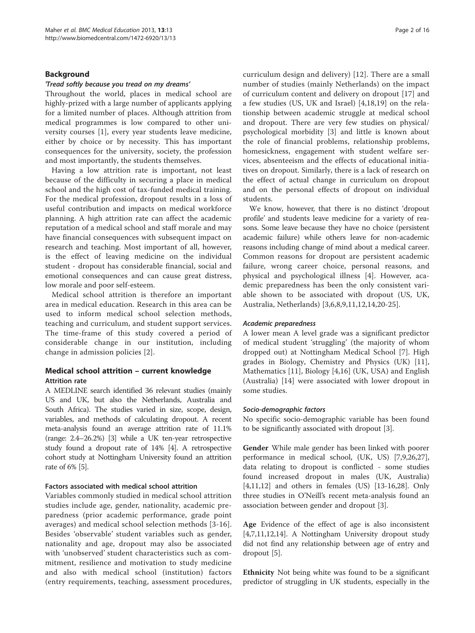## Background

#### 'Tread softly because you tread on my dreams'

Throughout the world, places in medical school are highly-prized with a large number of applicants applying for a limited number of places. Although attrition from medical programmes is low compared to other university courses [[1\]](#page-14-0), every year students leave medicine, either by choice or by necessity. This has important consequences for the university, society, the profession and most importantly, the students themselves.

Having a low attrition rate is important, not least because of the difficulty in securing a place in medical school and the high cost of tax-funded medical training. For the medical profession, dropout results in a loss of useful contribution and impacts on medical workforce planning. A high attrition rate can affect the academic reputation of a medical school and staff morale and may have financial consequences with subsequent impact on research and teaching. Most important of all, however, is the effect of leaving medicine on the individual student - dropout has considerable financial, social and emotional consequences and can cause great distress, low morale and poor self-esteem.

Medical school attrition is therefore an important area in medical education. Research in this area can be used to inform medical school selection methods, teaching and curriculum, and student support services. The time-frame of this study covered a period of considerable change in our institution, including change in admission policies [[2\]](#page-14-0).

## Medical school attrition – current knowledge Attrition rate

A MEDLINE search identified 36 relevant studies (mainly US and UK, but also the Netherlands, Australia and South Africa). The studies varied in size, scope, design, variables, and methods of calculating dropout. A recent meta-analysis found an average attrition rate of 11.1% (range: 2.4–26.2%) [[3](#page-14-0)] while a UK ten-year retrospective study found a dropout rate of 14% [[4](#page-14-0)]. A retrospective cohort study at Nottingham University found an attrition rate of 6% [\[5](#page-14-0)].

## Factors associated with medical school attrition

Variables commonly studied in medical school attrition studies include age, gender, nationality, academic preparedness (prior academic performance, grade point averages) and medical school selection methods [[3](#page-14-0)-[16](#page-14-0)]. Besides 'observable' student variables such as gender, nationality and age, dropout may also be associated with 'unobserved' student characteristics such as commitment, resilience and motivation to study medicine and also with medical school (institution) factors (entry requirements, teaching, assessment procedures, curriculum design and delivery) [[12](#page-14-0)]. There are a small number of studies (mainly Netherlands) on the impact of curriculum content and delivery on dropout [[17](#page-14-0)] and a few studies (US, UK and Israel) [[4,18,19](#page-14-0)] on the relationship between academic struggle at medical school and dropout. There are very few studies on physical/ psychological morbidity [[3\]](#page-14-0) and little is known about the role of financial problems, relationship problems, homesickness, engagement with student welfare services, absenteeism and the effects of educational initiatives on dropout. Similarly, there is a lack of research on the effect of actual change in curriculum on dropout and on the personal effects of dropout on individual students.

We know, however, that there is no distinct 'dropout profile' and students leave medicine for a variety of reasons. Some leave because they have no choice (persistent academic failure) while others leave for non-academic reasons including change of mind about a medical career. Common reasons for dropout are persistent academic failure, wrong career choice, personal reasons, and physical and psychological illness [[4\]](#page-14-0). However, academic preparedness has been the only consistent variable shown to be associated with dropout (US, UK, Australia, Netherlands) [\[3](#page-14-0),[6,8,9,11](#page-14-0),[12,14,20](#page-14-0)-[25\]](#page-14-0).

## Academic preparedness

A lower mean A level grade was a significant predictor of medical student 'struggling' (the majority of whom dropped out) at Nottingham Medical School [[7\]](#page-14-0). High grades in Biology, Chemistry and Physics (UK) [\[11](#page-14-0)], Mathematics [[11\]](#page-14-0), Biology [\[4](#page-14-0),[16\]](#page-14-0) (UK, USA) and English (Australia) [\[14](#page-14-0)] were associated with lower dropout in some studies.

## Socio-demographic factors

No specific socio-demographic variable has been found to be significantly associated with dropout [\[3](#page-14-0)].

Gender While male gender has been linked with poorer performance in medical school, (UK, US) [\[7,9,26,27](#page-14-0)], data relating to dropout is conflicted - some studies found increased dropout in males (UK, Australia) [[4,11,12\]](#page-14-0) and others in females (US) [[13-16,28\]](#page-14-0). Only three studies in O'Neill's recent meta-analysis found an association between gender and dropout [[3\]](#page-14-0).

Age Evidence of the effect of age is also inconsistent [[4,7,11,12,14\]](#page-14-0). A Nottingham University dropout study did not find any relationship between age of entry and dropout [[5\]](#page-14-0).

Ethnicity Not being white was found to be a significant predictor of struggling in UK students, especially in the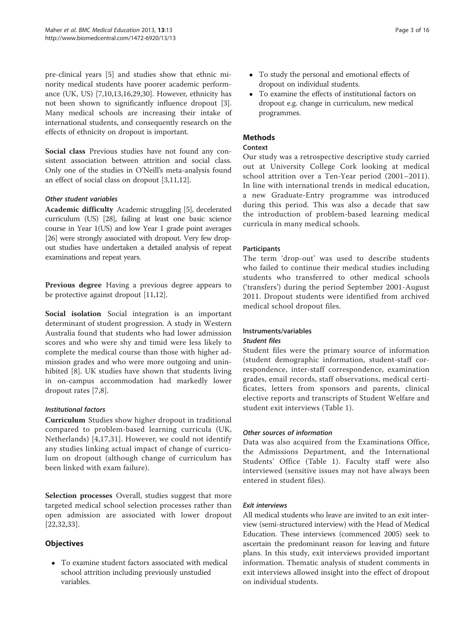pre-clinical years [\[5](#page-14-0)] and studies show that ethnic minority medical students have poorer academic performance (UK, US) [\[7,10,13,16,29,30\]](#page-14-0). However, ethnicity has not been shown to significantly influence dropout [\[3](#page-14-0)]. Many medical schools are increasing their intake of international students, and consequently research on the effects of ethnicity on dropout is important.

Social class Previous studies have not found any consistent association between attrition and social class. Only one of the studies in O'Neill's meta-analysis found an effect of social class on dropout [[3,11](#page-14-0),[12](#page-14-0)].

## Other student variables

Academic difficulty Academic struggling [\[5](#page-14-0)], decelerated curriculum (US) [\[28\]](#page-14-0), failing at least one basic science course in Year 1(US) and low Year 1 grade point averages [[26](#page-14-0)] were strongly associated with dropout. Very few dropout studies have undertaken a detailed analysis of repeat examinations and repeat years.

Previous degree Having a previous degree appears to be protective against dropout [\[11,12\]](#page-14-0).

Social isolation Social integration is an important determinant of student progression. A study in Western Australia found that students who had lower admission scores and who were shy and timid were less likely to complete the medical course than those with higher admission grades and who were more outgoing and uninhibited [\[8](#page-14-0)]. UK studies have shown that students living in on-campus accommodation had markedly lower dropout rates [[7,8\]](#page-14-0).

## Institutional factors

Curriculum Studies show higher dropout in traditional compared to problem-based learning curricula (UK, Netherlands) [\[4](#page-14-0),[17,31\]](#page-14-0). However, we could not identify any studies linking actual impact of change of curriculum on dropout (although change of curriculum has been linked with exam failure).

Selection processes Overall, studies suggest that more targeted medical school selection processes rather than open admission are associated with lower dropout [[22,32,33\]](#page-14-0).

## **Objectives**

 To examine student factors associated with medical school attrition including previously unstudied variables.

- To study the personal and emotional effects of dropout on individual students.
- To examine the effects of institutional factors on dropout e.g. change in curriculum, new medical programmes.

## Methods

## Context

Our study was a retrospective descriptive study carried out at University College Cork looking at medical school attrition over a Ten-Year period (2001–2011). In line with international trends in medical education, a new Graduate-Entry programme was introduced during this period. This was also a decade that saw the introduction of problem-based learning medical curricula in many medical schools.

## **Participants**

The term 'drop-out' was used to describe students who failed to continue their medical studies including students who transferred to other medical schools ('transfers') during the period September 2001-August 2011. Dropout students were identified from archived medical school dropout files.

## Instruments/variables

## Student files

Student files were the primary source of information (student demographic information, student-staff correspondence, inter-staff correspondence, examination grades, email records, staff observations, medical certificates, letters from sponsors and parents, clinical elective reports and transcripts of Student Welfare and student exit interviews (Table [1\)](#page-3-0).

## Other sources of information

Data was also acquired from the Examinations Office, the Admissions Department, and the International Students' Office (Table [1](#page-3-0)). Faculty staff were also interviewed (sensitive issues may not have always been entered in student files).

## Exit interviews

All medical students who leave are invited to an exit interview (semi-structured interview) with the Head of Medical Education. These interviews (commenced 2005) seek to ascertain the predominant reason for leaving and future plans. In this study, exit interviews provided important information. Thematic analysis of student comments in exit interviews allowed insight into the effect of dropout on individual students.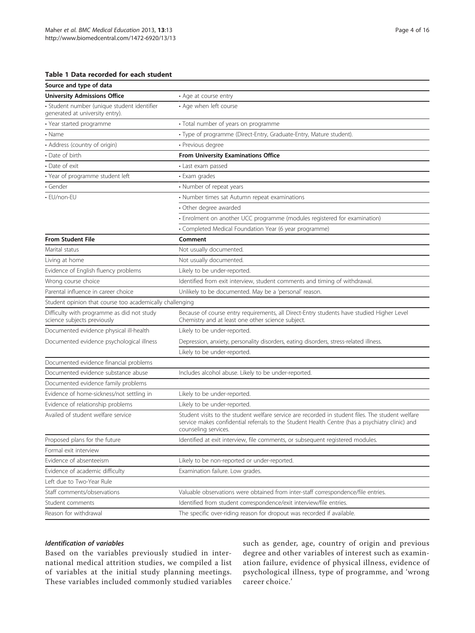## <span id="page-3-0"></span>Table 1 Data recorded for each student

| Source and type of data                                                        |                                                                                                                                                                                                                             |  |  |
|--------------------------------------------------------------------------------|-----------------------------------------------------------------------------------------------------------------------------------------------------------------------------------------------------------------------------|--|--|
| <b>University Admissions Office</b>                                            | • Age at course entry                                                                                                                                                                                                       |  |  |
| · Student number (unique student identifier<br>generated at university entry). | • Age when left course                                                                                                                                                                                                      |  |  |
| · Year started programme                                                       | · Total number of years on programme                                                                                                                                                                                        |  |  |
| • Name                                                                         | · Type of programme (Direct-Entry, Graduate-Entry, Mature student).                                                                                                                                                         |  |  |
| • Address (country of origin)                                                  | • Previous degree                                                                                                                                                                                                           |  |  |
| • Date of birth                                                                | From University Examinations Office                                                                                                                                                                                         |  |  |
| • Date of exit                                                                 | • Last exam passed                                                                                                                                                                                                          |  |  |
| · Year of programme student left                                               | • Exam grades                                                                                                                                                                                                               |  |  |
| • Gender                                                                       | • Number of repeat years                                                                                                                                                                                                    |  |  |
| • EU/non-EU                                                                    | • Number times sat Autumn repeat examinations                                                                                                                                                                               |  |  |
|                                                                                | • Other degree awarded                                                                                                                                                                                                      |  |  |
|                                                                                | • Enrolment on another UCC programme (modules registered for examination)                                                                                                                                                   |  |  |
|                                                                                | • Completed Medical Foundation Year (6 year programme)                                                                                                                                                                      |  |  |
| <b>From Student File</b>                                                       | Comment                                                                                                                                                                                                                     |  |  |
| Marital status                                                                 | Not usually documented.                                                                                                                                                                                                     |  |  |
| Living at home                                                                 | Not usually documented.                                                                                                                                                                                                     |  |  |
| Evidence of English fluency problems                                           | Likely to be under-reported.                                                                                                                                                                                                |  |  |
| Wrong course choice                                                            | Identified from exit interview, student comments and timing of withdrawal.                                                                                                                                                  |  |  |
| Parental influence in career choice                                            | Unlikely to be documented. May be a 'personal' reason.                                                                                                                                                                      |  |  |
| Student opinion that course too academically challenging                       |                                                                                                                                                                                                                             |  |  |
| Difficulty with programme as did not study<br>science subjects previously      | Because of course entry requirements, all Direct-Entry students have studied Higher Level<br>Chemistry and at least one other science subject.                                                                              |  |  |
| Documented evidence physical ill-health                                        | Likely to be under-reported.                                                                                                                                                                                                |  |  |
| Documented evidence psychological illness                                      | Depression, anxiety, personality disorders, eating disorders, stress-related illness.                                                                                                                                       |  |  |
|                                                                                | Likely to be under-reported.                                                                                                                                                                                                |  |  |
| Documented evidence financial problems                                         |                                                                                                                                                                                                                             |  |  |
| Documented evidence substance abuse                                            | Includes alcohol abuse. Likely to be under-reported.                                                                                                                                                                        |  |  |
| Documented evidence family problems                                            |                                                                                                                                                                                                                             |  |  |
| Evidence of home-sickness/not settling in                                      | Likely to be under-reported.                                                                                                                                                                                                |  |  |
| Evidence of relationship problems                                              | Likely to be under-reported.                                                                                                                                                                                                |  |  |
| Availed of student welfare service                                             | Student visits to the student welfare service are recorded in student files. The student welfare<br>service makes confidential referrals to the Student Health Centre (has a psychiatry clinic) and<br>counseling services. |  |  |
| Proposed plans for the future                                                  | Identified at exit interview, file comments, or subsequent registered modules.                                                                                                                                              |  |  |
| Formal exit interview                                                          |                                                                                                                                                                                                                             |  |  |
| Evidence of absenteeism                                                        | Likely to be non-reported or under-reported.                                                                                                                                                                                |  |  |
| Evidence of academic difficulty                                                | Examination failure. Low grades.                                                                                                                                                                                            |  |  |
| Left due to Two-Year Rule                                                      |                                                                                                                                                                                                                             |  |  |
| Staff comments/observations                                                    | Valuable observations were obtained from inter-staff correspondence/file entries.                                                                                                                                           |  |  |
| Student comments                                                               | Identified from student correspondence/exit interview/file entries.                                                                                                                                                         |  |  |
| Reason for withdrawal                                                          | The specific over-riding reason for dropout was recorded if available.                                                                                                                                                      |  |  |

## Identification of variables

Based on the variables previously studied in international medical attrition studies, we compiled a list of variables at the initial study planning meetings. These variables included commonly studied variables such as gender, age, country of origin and previous degree and other variables of interest such as examination failure, evidence of physical illness, evidence of psychological illness, type of programme, and 'wrong career choice.'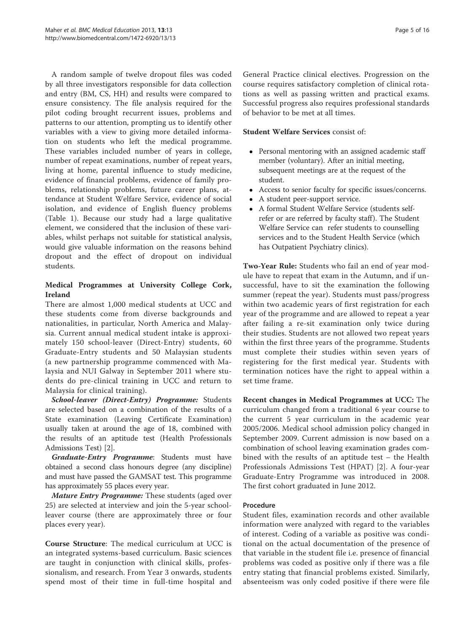A random sample of twelve dropout files was coded by all three investigators responsible for data collection and entry (BM, CS, HH) and results were compared to ensure consistency. The file analysis required for the pilot coding brought recurrent issues, problems and patterns to our attention, prompting us to identify other variables with a view to giving more detailed information on students who left the medical programme. These variables included number of years in college, number of repeat examinations, number of repeat years, living at home, parental influence to study medicine, evidence of financial problems, evidence of family problems, relationship problems, future career plans, attendance at Student Welfare Service, evidence of social isolation, and evidence of English fluency problems (Table [1](#page-3-0)). Because our study had a large qualitative element, we considered that the inclusion of these variables, whilst perhaps not suitable for statistical analysis, would give valuable information on the reasons behind dropout and the effect of dropout on individual students.

## Medical Programmes at University College Cork, Ireland

There are almost 1,000 medical students at UCC and these students come from diverse backgrounds and nationalities, in particular, North America and Malaysia. Current annual medical student intake is approximately 150 school-leaver (Direct-Entry) students, 60 Graduate-Entry students and 50 Malaysian students (a new partnership programme commenced with Malaysia and NUI Galway in September 2011 where students do pre-clinical training in UCC and return to Malaysia for clinical training).

School-leaver (Direct-Entry) Programme: Students are selected based on a combination of the results of a State examination (Leaving Certificate Examination) usually taken at around the age of 18, combined with the results of an aptitude test (Health Professionals Admissions Test) [[2\]](#page-14-0).

Graduate-Entry Programme: Students must have obtained a second class honours degree (any discipline) and must have passed the GAMSAT test. This programme has approximately 55 places every year.

**Mature Entry Programme:** These students (aged over 25) are selected at interview and join the 5-year schoolleaver course (there are approximately three or four places every year).

Course Structure: The medical curriculum at UCC is an integrated systems-based curriculum. Basic sciences are taught in conjunction with clinical skills, professionalism, and research. From Year 3 onwards, students spend most of their time in full-time hospital and General Practice clinical electives. Progression on the course requires satisfactory completion of clinical rotations as well as passing written and practical exams. Successful progress also requires professional standards of behavior to be met at all times.

## Student Welfare Services consist of:

- Personal mentoring with an assigned academic staff member (voluntary). After an initial meeting, subsequent meetings are at the request of the student.
- Access to senior faculty for specific issues/concerns.
- A student peer-support service.
- A formal Student Welfare Service (students selfrefer or are referred by faculty staff ). The Student Welfare Service can refer students to counselling services and to the Student Health Service (which has Outpatient Psychiatry clinics).

Two-Year Rule: Students who fail an end of year module have to repeat that exam in the Autumn, and if unsuccessful, have to sit the examination the following summer (repeat the year). Students must pass/progress within two academic years of first registration for each year of the programme and are allowed to repeat a year after failing a re-sit examination only twice during their studies. Students are not allowed two repeat years within the first three years of the programme. Students must complete their studies within seven years of registering for the first medical year. Students with termination notices have the right to appeal within a set time frame.

Recent changes in Medical Programmes at UCC: The curriculum changed from a traditional 6 year course to the current 5 year curriculum in the academic year 2005/2006. Medical school admission policy changed in September 2009. Current admission is now based on a combination of school leaving examination grades combined with the results of an aptitude test – the Health Professionals Admissions Test (HPAT) [[2\]](#page-14-0). A four-year Graduate-Entry Programme was introduced in 2008. The first cohort graduated in June 2012.

## Procedure

Student files, examination records and other available information were analyzed with regard to the variables of interest. Coding of a variable as positive was conditional on the actual documentation of the presence of that variable in the student file i.e. presence of financial problems was coded as positive only if there was a file entry stating that financial problems existed. Similarly, absenteeism was only coded positive if there were file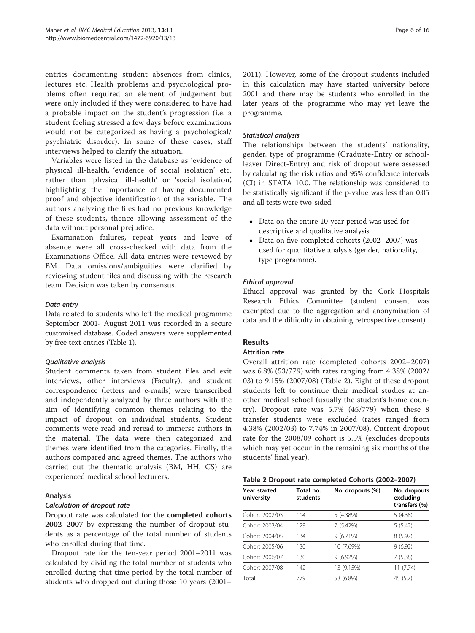<span id="page-5-0"></span>entries documenting student absences from clinics, lectures etc. Health problems and psychological problems often required an element of judgement but were only included if they were considered to have had a probable impact on the student's progression (i.e. a student feeling stressed a few days before examinations would not be categorized as having a psychological/ psychiatric disorder). In some of these cases, staff interviews helped to clarify the situation.

Variables were listed in the database as 'evidence of physical ill-health, 'evidence of social isolation' etc. rather than 'physical ill-health' or 'social isolation', highlighting the importance of having documented proof and objective identification of the variable. The authors analyzing the files had no previous knowledge of these students, thence allowing assessment of the data without personal prejudice.

Examination failures, repeat years and leave of absence were all cross-checked with data from the Examinations Office. All data entries were reviewed by BM. Data omissions/ambiguities were clarified by reviewing student files and discussing with the research team. Decision was taken by consensus.

#### Data entry

Data related to students who left the medical programme September 2001- August 2011 was recorded in a secure customised database. Coded answers were supplemented by free text entries (Table [1\)](#page-3-0).

## Qualitative analysis

Student comments taken from student files and exit interviews, other interviews (Faculty), and student correspondence (letters and e-mails) were transcribed and independently analyzed by three authors with the aim of identifying common themes relating to the impact of dropout on individual students. Student comments were read and reread to immerse authors in the material. The data were then categorized and themes were identified from the categories. Finally, the authors compared and agreed themes. The authors who carried out the thematic analysis (BM, HH, CS) are experienced medical school lecturers.

## Analysis

#### Calculation of dropout rate

Dropout rate was calculated for the completed cohorts 2002–2007 by expressing the number of dropout students as a percentage of the total number of students who enrolled during that time.

Dropout rate for the ten-year period 2001–2011 was calculated by dividing the total number of students who enrolled during that time period by the total number of students who dropped out during those 10 years (2001–

2011). However, some of the dropout students included in this calculation may have started university before 2001 and there may be students who enrolled in the later years of the programme who may yet leave the programme.

#### Statistical analysis

The relationships between the students' nationality, gender, type of programme (Graduate-Entry or schoolleaver Direct-Entry) and risk of dropout were assessed by calculating the risk ratios and 95% confidence intervals (CI) in STATA 10.0. The relationship was considered to be statistically significant if the p-value was less than 0.05 and all tests were two-sided.

- Data on the entire 10-year period was used for descriptive and qualitative analysis.
- Data on five completed cohorts (2002–2007) was used for quantitative analysis (gender, nationality, type programme).

#### Ethical approval

Ethical approval was granted by the Cork Hospitals Research Ethics Committee (student consent was exempted due to the aggregation and anonymisation of data and the difficulty in obtaining retrospective consent).

## **Results**

#### Attrition rate

Overall attrition rate (completed cohorts 2002–2007) was 6.8% (53/779) with rates ranging from 4.38% (2002/ 03) to 9.15% (2007/08) (Table 2). Eight of these dropout students left to continue their medical studies at another medical school (usually the student's home country). Dropout rate was 5.7% (45/779) when these 8 transfer students were excluded (rates ranged from 4.38% (2002/03) to 7.74% in 2007/08). Current dropout rate for the 2008/09 cohort is 5.5% (excludes dropouts which may yet occur in the remaining six months of the students' final year).

|  |  |  |  |  | Table 2 Dropout rate completed Cohorts (2002-2007) |
|--|--|--|--|--|----------------------------------------------------|
|--|--|--|--|--|----------------------------------------------------|

| Total no.<br>Year started<br>students<br>university |     | No. dropouts (%) | No. dropouts<br>excluding<br>transfers (%) |
|-----------------------------------------------------|-----|------------------|--------------------------------------------|
| Cohort 2002/03                                      | 114 | 5 (4.38%)        | 5(4.38)                                    |
| Cohort 2003/04                                      | 129 | 7 (5.42%)        | 5(5.42)                                    |
| Cohort 2004/05                                      | 134 | $9(6.71\%)$      | 8(5.97)                                    |
| Cohort 2005/06                                      | 130 | 10 (7.69%)       | 9(6.92)                                    |
| Cohort 2006/07                                      | 130 | $9(6.92\%)$      | 7(5.38)                                    |
| Cohort 2007/08                                      | 142 | 13 (9.15%)       | 11 (7.74)                                  |
| Total                                               | 779 | 53 (6.8%)        | 45 (5.7)                                   |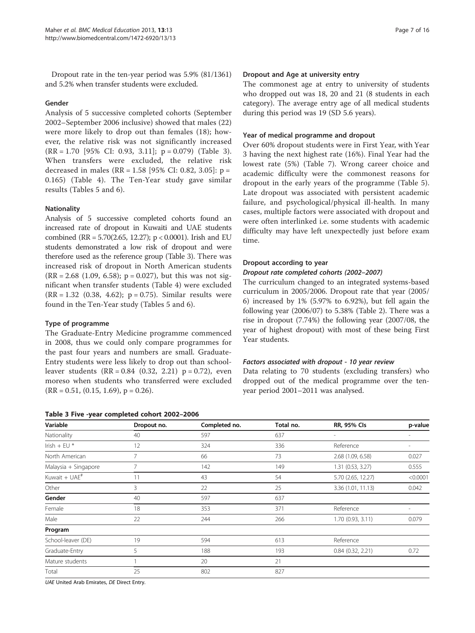Dropout rate in the ten-year period was 5.9% (81/1361) and 5.2% when transfer students were excluded.

## Gender

Analysis of 5 successive completed cohorts (September 2002–September 2006 inclusive) showed that males (22) were more likely to drop out than females (18); however, the relative risk was not significantly increased  $(RR = 1.70$  [95% CI: 0.93, 3.11];  $p = 0.079$  (Table 3). When transfers were excluded, the relative risk decreased in males (RR = 1.58 [95% CI: 0.82, 3.05]:  $p =$ 0.165) (Table [4](#page-7-0)). The Ten-Year study gave similar results (Tables [5](#page-7-0) and [6\)](#page-8-0).

#### Nationality

Analysis of 5 successive completed cohorts found an increased rate of dropout in Kuwaiti and UAE students combined (RR = 5.70(2.65, 12.27); p < 0.0001). Irish and EU students demonstrated a low risk of dropout and were therefore used as the reference group (Table 3). There was increased risk of dropout in North American students  $(RR = 2.68$  (1.09, 6.58); p = 0.027), but this was not significant when transfer students (Table [4](#page-7-0)) were excluded  $(RR = 1.32 \ (0.38, 4.62); p = 0.75)$ . Similar results were found in the Ten-Year study (Tables [5](#page-7-0) and [6](#page-8-0)).

## Type of programme

The Graduate-Entry Medicine programme commenced in 2008, thus we could only compare programmes for the past four years and numbers are small. Graduate-Entry students were less likely to drop out than schoolleaver students  $(RR = 0.84 (0.32, 2.21) p = 0.72)$ , even moreso when students who transferred were excluded  $(RR = 0.51, (0.15, 1.69), p = 0.26).$ 



#### Dropout and Age at university entry

The commonest age at entry to university of students who dropped out was 18, 20 and 21 (8 students in each category). The average entry age of all medical students during this period was 19 (SD 5.6 years).

## Year of medical programme and dropout

Over 60% dropout students were in First Year, with Year 3 having the next highest rate (16%). Final Year had the lowest rate (5%) (Table [7](#page-8-0)). Wrong career choice and academic difficulty were the commonest reasons for dropout in the early years of the programme (Table [5](#page-7-0)). Late dropout was associated with persistent academic failure, and psychological/physical ill-health. In many cases, multiple factors were associated with dropout and were often interlinked i.e. some students with academic difficulty may have left unexpectedly just before exam time.

#### Dropout according to year

#### Dropout rate completed cohorts (2002–2007)

The curriculum changed to an integrated systems-based curriculum in 2005/2006. Dropout rate that year (2005/ 6) increased by 1% (5.97% to 6.92%), but fell again the following year (2006/07) to 5.38% (Table [2\)](#page-5-0). There was a rise in dropout (7.74%) the following year (2007/08, the year of highest dropout) with most of these being First Year students.

#### Factors associated with dropout - 10 year review

Data relating to 70 students (excluding transfers) who dropped out of the medical programme over the tenyear period 2001–2011 was analysed.

| Variable                  | Dropout no.       | Completed no. | Total no. | <b>RR, 95% Cls</b>       | p-value  |
|---------------------------|-------------------|---------------|-----------|--------------------------|----------|
| Nationality               | 40                | 597           | 637       | $\overline{\phantom{a}}$ |          |
| Irish + $EU$ *            | $12 \overline{ }$ | 324           | 336       | Reference                |          |
| North American            | 7                 | 66            | 73        | 2.68 (1.09, 6.58)        | 0.027    |
| Malaysia + Singapore      |                   | 142           | 149       | 1.31 (0.53, 3.27)        | 0.555    |
| Kuwait + UAE <sup>#</sup> | 11                | 43            | 54        | 5.70 (2.65, 12.27)       | < 0.0001 |
| Other                     | 3                 | 22            | 25        | 3.36 (1.01, 11.13)       | 0.042    |
| Gender                    | 40                | 597           | 637       |                          |          |
| Female                    | 18                | 353           | 371       | Reference                |          |
| Male                      | 22                | 244           | 266       | 1.70(0.93, 3.11)         | 0.079    |
| Program                   |                   |               |           |                          |          |
| School-leaver (DE)        | 19                | 594           | 613       | Reference                |          |
| Graduate-Entry            | 5                 | 188           | 193       | $0.84$ $(0.32, 2.21)$    | 0.72     |
| Mature students           |                   | 20            | 21        |                          |          |
| Total                     | 25                | 802           | 827       |                          |          |

UAE United Arab Emirates, DE Direct Entry.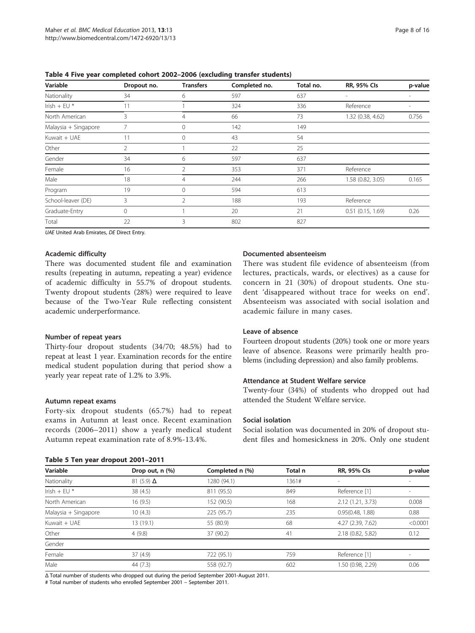| Page 8 of 16 |  |  |
|--------------|--|--|
|              |  |  |

| Variable             | Dropout no. | <b>Transfers</b> | Completed no. | Total no. | <b>RR, 95% Cls</b>       | p-value |
|----------------------|-------------|------------------|---------------|-----------|--------------------------|---------|
| Nationality          | 34          | 6                | 597           | 637       | $\overline{\phantom{a}}$ |         |
| Irish + $EU$ *       | 11          |                  | 324           | 336       | Reference                |         |
| North American       | 3           | 4                | 66            | 73        | 1.32 (0.38, 4.62)        | 0.756   |
| Malaysia + Singapore |             | 0                | 142           | 149       |                          |         |
| Kuwait + UAE         | 11          | 0                | 43            | 54        |                          |         |
| Other                | 2           |                  | 22            | 25        |                          |         |
| Gender               | 34          | 6                | 597           | 637       |                          |         |
| Female               | 16          | 2                | 353           | 371       | Reference                |         |
| Male                 | 18          | 4                | 244           | 266       | 1.58 (0.82, 3.05)        | 0.165   |
| Program              | 19          | 0                | 594           | 613       |                          |         |
| School-leaver (DE)   | 3           | 2                | 188           | 193       | Reference                |         |
| Graduate-Entry       | $\Omega$    |                  | 20            | 21        | 0.51(0.15, 1.69)         | 0.26    |
| Total                | 22          | 3                | 802           | 827       |                          |         |

<span id="page-7-0"></span>Table 4 Five year completed cohort 2002–2006 (excluding transfer students)

UAE United Arab Emirates, DE Direct Entry.

#### Academic difficulty

There was documented student file and examination results (repeating in autumn, repeating a year) evidence of academic difficulty in 55.7% of dropout students. Twenty dropout students (28%) were required to leave because of the Two-Year Rule reflecting consistent academic underperformance.

#### Number of repeat years

Thirty-four dropout students (34/70; 48.5%) had to repeat at least 1 year. Examination records for the entire medical student population during that period show a yearly year repeat rate of 1.2% to 3.9%.

#### Autumn repeat exams

Forty-six dropout students (65.7%) had to repeat exams in Autumn at least once. Recent examination records (2006–2011) show a yearly medical student Autumn repeat examination rate of 8.9%-13.4%.

#### Documented absenteeism

There was student file evidence of absenteeism (from lectures, practicals, wards, or electives) as a cause for concern in 21 (30%) of dropout students. One student 'disappeared without trace for weeks on end'. Absenteeism was associated with social isolation and academic failure in many cases.

#### Leave of absence

Fourteen dropout students (20%) took one or more years leave of absence. Reasons were primarily health problems (including depression) and also family problems.

## Attendance at Student Welfare service

Twenty-four (34%) of students who dropped out had attended the Student Welfare service.

#### Social isolation

Social isolation was documented in 20% of dropout student files and homesickness in 20%. Only one student

| Drop out, n (%)   | Completed n (%) | Total n | <b>RR, 95% Cls</b> | p-value  |  |  |  |
|-------------------|-----------------|---------|--------------------|----------|--|--|--|
| 81 (5.9) $\Delta$ | 1280 (94.1)     | 1361#   |                    |          |  |  |  |
| 38(4.5)           | 811 (95.5)      | 849     | Reference [1]      | $\sim$   |  |  |  |
| 16(9.5)           | 152 (90.5)      | 168     | 2.12 (1.21, 3.73)  | 0.008    |  |  |  |
| 10(4.3)           | 225 (95.7)      | 235     | 0.95(0.48, 1.88)   | 0.88     |  |  |  |
| 13 (19.1)         | 55 (80.9)       | 68      | 4.27 (2.39, 7.62)  | < 0.0001 |  |  |  |
| 4(9.8)            | 37 (90.2)       | 41      | 2.18 (0.82, 5.82)  | 0.12     |  |  |  |
|                   |                 |         |                    |          |  |  |  |
| 37(4.9)           | 722 (95.1)      | 759     | Reference [1]      |          |  |  |  |
| 44(7.3)           | 558 (92.7)      | 602     | 1.50 (0.98, 2.29)  | 0.06     |  |  |  |
|                   |                 |         |                    |          |  |  |  |

Δ Total number of students who dropped out during the period September 2001-August 2011.

# Total number of students who enrolled September 2001 – September 2011.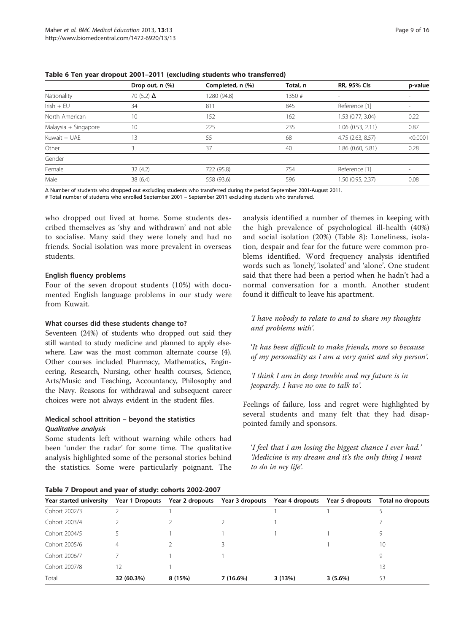| Page 9 of 16 |  |  |
|--------------|--|--|
|              |  |  |

<span id="page-8-0"></span>

|  | Table 6 Ten year dropout 2001-2011 (excluding students who transferred) |
|--|-------------------------------------------------------------------------|
|--|-------------------------------------------------------------------------|

|                      | Drop out, $n$ $(\%)$ | Completed, n (%) | Total, n | <b>RR, 95% Cls</b>       | p-value                  |
|----------------------|----------------------|------------------|----------|--------------------------|--------------------------|
| Nationality          | 70 (5.2) $\Delta$    | 1280 (94.8)      | 1350#    | $\overline{\phantom{a}}$ | $\overline{\phantom{a}}$ |
| $Irish + EU$         | 34                   | 811              | 845      | Reference [1]            | $\overline{\phantom{a}}$ |
| North American       | 10                   | 152              | 162      | 1.53 (0.77, 3.04)        | 0.22                     |
| Malaysia + Singapore | 10                   | 225              | 235      | $1.06$ $(0.53, 2.11)$    | 0.87                     |
| Kuwait + UAE         | 13                   | 55               | 68       | 4.75 (2.63, 8.57)        | < 0.0001                 |
| Other                | 3                    | 37               | 40       | 1.86 (0.60, 5.81)        | 0.28                     |
| Gender               |                      |                  |          |                          |                          |
| Female               | 32(4.2)              | 722 (95.8)       | 754      | Reference [1]            |                          |
| Male                 | 38(6.4)              | 558 (93.6)       | 596      | 1.50 (0.95, 2.37)        | 0.08                     |

Δ Number of students who dropped out excluding students who transferred during the period September 2001-August 2011.

# Total number of students who enrolled September 2001 – September 2011 excluding students who transferred.

who dropped out lived at home. Some students described themselves as 'shy and withdrawn' and not able to socialise. Many said they were lonely and had no friends. Social isolation was more prevalent in overseas students.

#### English fluency problems

Four of the seven dropout students (10%) with documented English language problems in our study were from Kuwait.

#### What courses did these students change to?

Seventeen (24%) of students who dropped out said they still wanted to study medicine and planned to apply elsewhere. Law was the most common alternate course (4). Other courses included Pharmacy, Mathematics, Engineering, Research, Nursing, other health courses, Science, Arts/Music and Teaching, Accountancy, Philosophy and the Navy. Reasons for withdrawal and subsequent career choices were not always evident in the student files.

#### Medical school attrition – beyond the statistics Qualitative analysis

Some students left without warning while others had been 'under the radar' for some time. The qualitative analysis highlighted some of the personal stories behind the statistics. Some were particularly poignant. The analysis identified a number of themes in keeping with the high prevalence of psychological ill-health (40%) and social isolation (20%) (Table [8](#page-9-0)): Loneliness, isolation, despair and fear for the future were common problems identified. Word frequency analysis identified words such as 'lonely', 'isolated' and 'alone'. One student said that there had been a period when he hadn't had a normal conversation for a month. Another student found it difficult to leave his apartment.

'I have nobody to relate to and to share my thoughts and problems with'.

'It has been difficult to make friends, more so because of my personality as I am a very quiet and shy person'.

'I think I am in deep trouble and my future is in jeopardy. I have no one to talk to'.

Feelings of failure, loss and regret were highlighted by several students and many felt that they had disappointed family and sponsors.

'I feel that I am losing the biggest chance I ever had.' 'Medicine is my dream and it's the only thing I want to do in my life'.

Table 7 Dropout and year of study: cohorts 2002-2007

| Year started university | Year 1 Dropouts | Year 2 dropouts | Year 3 dropouts |        | Year 4 dropouts Year 5 dropouts | Total no dropouts |
|-------------------------|-----------------|-----------------|-----------------|--------|---------------------------------|-------------------|
| Cohort 2002/3           |                 |                 |                 |        |                                 |                   |
| Cohort 2003/4           |                 |                 |                 |        |                                 |                   |
| Cohort 2004/5           |                 |                 |                 |        |                                 | 9                 |
| Cohort 2005/6           | $\overline{4}$  |                 |                 |        |                                 | 10                |
| Cohort 2006/7           |                 |                 |                 |        |                                 | 9                 |
| Cohort 2007/8           | 12              |                 |                 |        |                                 | 13                |
| Total                   | 32 (60.3%)      | 8 (15%)         | 7(16.6%)        | 3(13%) | 3(5.6%)                         | 53                |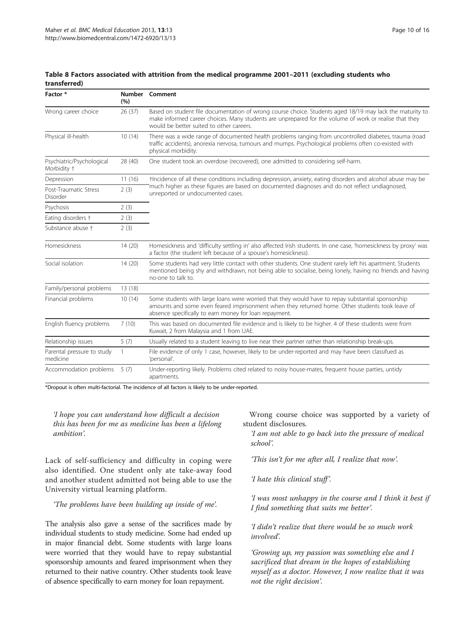| Factor*                                  | (96)         | Number Comment                                                                                                                                                                                                                                                 |
|------------------------------------------|--------------|----------------------------------------------------------------------------------------------------------------------------------------------------------------------------------------------------------------------------------------------------------------|
| Wrong career choice                      | 26(37)       | Based on student file documentation of wrong course choice. Students aged 18/19 may lack the maturity to<br>make informed career choices. Many students are unprepared for the volume of work or realise that they<br>would be better suited to other careers. |
| Physical ill-health                      | 10(14)       | There was a wide range of documented health problems ranging from uncontrolled diabetes, trauma (road<br>traffic accidents), anorexia nervosa, tumours and mumps. Psychological problems often co-existed with<br>physical morbidity.                          |
| Psychiatric/Psychological<br>Morbidity + | 28 (40)      | One student took an overdose (recovered), one admitted to considering self-harm.                                                                                                                                                                               |
| Depression                               | 11(16)       | flncidence of all these conditions including depression, anxiety, eating disorders and alcohol abuse may be<br>much higher as these figures are based on documented diagnoses and do not reflect undiagnosed,<br>unreported or undocumented cases.             |
| Post-Traumatic Stress<br>Disorder        | 2(3)         |                                                                                                                                                                                                                                                                |
| Psychosis                                | 2(3)         |                                                                                                                                                                                                                                                                |
| Eating disorders +                       | 2(3)         |                                                                                                                                                                                                                                                                |
| Substance abuse t                        | 2(3)         |                                                                                                                                                                                                                                                                |
| Homesickness                             | 14(20)       | Homesickness and 'difficulty settling in' also affected Irish students. In one case, 'homesickness by proxy' was<br>a factor (the student left because of a spouse's homesickness).                                                                            |
| Social isolation                         | 14(20)       | Some students had very little contact with other students. One student rarely left his apartment. Students<br>mentioned being shy and withdrawn, not being able to socialise, being lonely, having no friends and having<br>no-one to talk to.                 |
| Family/personal problems                 | 13(18)       |                                                                                                                                                                                                                                                                |
| Financial problems                       | 10(14)       | Some students with large loans were worried that they would have to repay substantial sponsorship<br>amounts and some even feared imprisonment when they returned home. Other students took leave of<br>absence specifically to earn money for loan repayment. |
| English fluency problems                 | 7(10)        | This was based on documented file evidence and is likely to be higher. 4 of these students were from<br>Kuwait, 2 from Malaysia and 1 from UAE.                                                                                                                |
| Relationship issues                      | 5(7)         | Usually related to a student leaving to live near their partner rather than relationship break-ups.                                                                                                                                                            |
| Parental pressure to study<br>medicine   | $\mathbf{1}$ | File evidence of only 1 case, however, likely to be under-reported and may have been classifued as<br>'personal'.                                                                                                                                              |
| Accommodation problems                   | 5(7)         | Under-reporting likely. Problems cited related to noisy house-mates, frequent house parties, untidy<br>apartments.                                                                                                                                             |

#### <span id="page-9-0"></span>Table 8 Factors associated with attrition from the medical programme 2001–2011 (excluding students who transferred)

\*Dropout is often multi-factorial. The incidence of all factors is likely to be under-reported.

'I hope you can understand how difficult a decision this has been for me as medicine has been a lifelong ambition'.

Lack of self-sufficiency and difficulty in coping were also identified. One student only ate take-away food and another student admitted not being able to use the University virtual learning platform.

'The problems have been building up inside of me'.

The analysis also gave a sense of the sacrifices made by individual students to study medicine. Some had ended up in major financial debt. Some students with large loans were worried that they would have to repay substantial sponsorship amounts and feared imprisonment when they returned to their native country. Other students took leave of absence specifically to earn money for loan repayment.

Wrong course choice was supported by a variety of student disclosures.

'I am not able to go back into the pressure of medical school'.

'This isn't for me after all, I realize that now'.

'I hate this clinical stuff'.

'I was most unhappy in the course and I think it best if I find something that suits me better'.

'I didn't realize that there would be so much work involved'.

'Growing up, my passion was something else and I sacrificed that dream in the hopes of establishing myself as a doctor. However, I now realize that it was not the right decision'.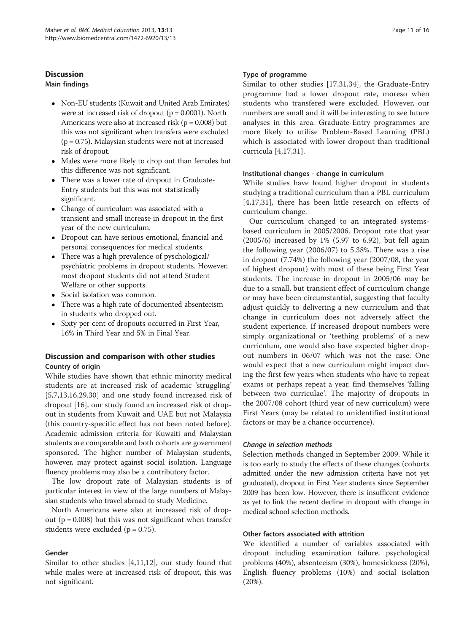## **Discussion**

#### Main findings

- Non-EU students (Kuwait and United Arab Emirates) were at increased risk of dropout  $(p = 0.0001)$ . North Americans were also at increased risk ( $p = 0.008$ ) but this was not significant when transfers were excluded  $(p = 0.75)$ . Malaysian students were not at increased risk of dropout.
- Males were more likely to drop out than females but this difference was not significant.
- There was a lower rate of dropout in Graduate-Entry students but this was not statistically significant.
- Change of curriculum was associated with a transient and small increase in dropout in the first year of the new curriculum.
- Dropout can have serious emotional, financial and personal consequences for medical students.
- There was a high prevalence of pyschological/ psychiatric problems in dropout students. However, most dropout students did not attend Student Welfare or other supports.
- Social isolation was common.
- There was a high rate of documented absenteeism in students who dropped out.
- Sixty per cent of dropouts occurred in First Year, 16% in Third Year and 5% in Final Year.

## Discussion and comparison with other studies Country of origin

While studies have shown that ethnic minority medical students are at increased risk of academic 'struggling' [[5,7,13](#page-14-0),[16,29,30](#page-14-0)] and one study found increased risk of dropout [\[16](#page-14-0)], our study found an increased risk of dropout in students from Kuwait and UAE but not Malaysia (this country-specific effect has not been noted before). Academic admission criteria for Kuwaiti and Malaysian students are comparable and both cohorts are government sponsored. The higher number of Malaysian students, however, may protect against social isolation. Language fluency problems may also be a contributory factor.

The low dropout rate of Malaysian students is of particular interest in view of the large numbers of Malaysian students who travel abroad to study Medicine.

North Americans were also at increased risk of dropout ( $p = 0.008$ ) but this was not significant when transfer students were excluded ( $p = 0.75$ ).

## Gender

Similar to other studies [[4,11,12\]](#page-14-0), our study found that while males were at increased risk of dropout, this was not significant.

## Type of programme

Similar to other studies [[17,31,34](#page-14-0)], the Graduate-Entry programme had a lower dropout rate, moreso when students who transfered were excluded. However, our numbers are small and it will be interesting to see future analyses in this area. Graduate-Entry programmes are more likely to utilise Problem-Based Learning (PBL) which is associated with lower dropout than traditional curricula [[4,17,31](#page-14-0)].

## Institutional changes - change in curriculum

While studies have found higher dropout in students studying a traditional curriculum than a PBL curriculum [[4,17,31](#page-14-0)], there has been little research on effects of curriculum change.

Our curriculum changed to an integrated systemsbased curriculum in 2005/2006. Dropout rate that year (2005/6) increased by 1% (5.97 to 6.92), but fell again the following year (2006/07) to 5.38%. There was a rise in dropout (7.74%) the following year (2007/08, the year of highest dropout) with most of these being First Year students. The increase in dropout in 2005/06 may be due to a small, but transient effect of curriculum change or may have been circumstantial, suggesting that faculty adjust quickly to delivering a new curriculum and that change in curriculum does not adversely affect the student experience. If increased dropout numbers were simply organizational or 'teething problems' of a new curriculum, one would also have expected higher dropout numbers in 06/07 which was not the case. One would expect that a new curriculum might impact during the first few years when students who have to repeat exams or perhaps repeat a year, find themselves 'falling between two curriculae'. The majority of dropouts in the 2007/08 cohort (third year of new curriculum) were First Years (may be related to unidentified institutional factors or may be a chance occurrence).

#### Change in selection methods

Selection methods changed in September 2009. While it is too early to study the effects of these changes (cohorts admitted under the new admission criteria have not yet graduated), dropout in First Year students since September 2009 has been low. However, there is insufficent evidence as yet to link the recent decline in dropout with change in medical school selection methods.

## Other factors associated with attrition

We identified a number of variables associated with dropout including examination failure, psychological problems (40%), absenteeism (30%), homesickness (20%), English fluency problems (10%) and social isolation (20%).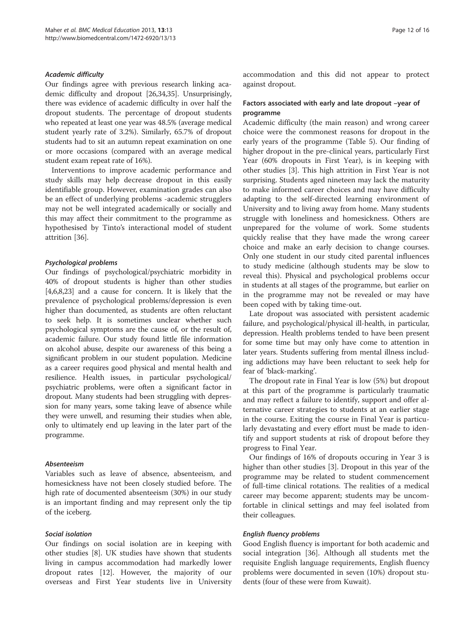#### Academic difficulty

Our findings agree with previous research linking academic difficulty and dropout [\[26,34,35](#page-14-0)]. Unsurprisingly, there was evidence of academic difficulty in over half the dropout students. The percentage of dropout students who repeated at least one year was 48.5% (average medical student yearly rate of 3.2%). Similarly, 65.7% of dropout students had to sit an autumn repeat examination on one or more occasions (compared with an average medical student exam repeat rate of 16%).

Interventions to improve academic performance and study skills may help decrease dropout in this easily identifiable group. However, examination grades can also be an effect of underlying problems -academic strugglers may not be well integrated academically or socially and this may affect their commitment to the programme as hypothesised by Tinto's interactional model of student attrition [\[36\]](#page-14-0).

#### Psychological problems

Our findings of psychological/psychiatric morbidity in 40% of dropout students is higher than other studies [[4,6](#page-14-0),[8,23](#page-14-0)] and a cause for concern. It is likely that the prevalence of psychological problems/depression is even higher than documented, as students are often reluctant to seek help. It is sometimes unclear whether such psychological symptoms are the cause of, or the result of, academic failure. Our study found little file information on alcohol abuse, despite our awareness of this being a significant problem in our student population. Medicine as a career requires good physical and mental health and resilience. Health issues, in particular psychological/ psychiatric problems, were often a significant factor in dropout. Many students had been struggling with depression for many years, some taking leave of absence while they were unwell, and resuming their studies when able, only to ultimately end up leaving in the later part of the programme.

#### Absenteeism

Variables such as leave of absence, absenteeism, and homesickness have not been closely studied before. The high rate of documented absenteeism (30%) in our study is an important finding and may represent only the tip of the iceberg.

#### Social isolation

Our findings on social isolation are in keeping with other studies [\[8\]](#page-14-0). UK studies have shown that students living in campus accommodation had markedly lower dropout rates [\[12](#page-14-0)]. However, the majority of our overseas and First Year students live in University accommodation and this did not appear to protect against dropout.

## Factors associated with early and late dropout –year of programme

Academic difficulty (the main reason) and wrong career choice were the commonest reasons for dropout in the early years of the programme (Table [5\)](#page-7-0). Our finding of higher dropout in the pre-clinical years, particularly First Year (60% dropouts in First Year), is in keeping with other studies [\[3\]](#page-14-0). This high attrition in First Year is not surprising. Students aged nineteen may lack the maturity to make informed career choices and may have difficulty adapting to the self-directed learning environment of University and to living away from home. Many students struggle with loneliness and homesickness. Others are unprepared for the volume of work. Some students quickly realise that they have made the wrong career choice and make an early decision to change courses. Only one student in our study cited parental influences to study medicine (although students may be slow to reveal this). Physical and psychological problems occur in students at all stages of the programme, but earlier on in the programme may not be revealed or may have been coped with by taking time-out.

Late dropout was associated with persistent academic failure, and psychological/physical ill-health, in particular, depression. Health problems tended to have been present for some time but may only have come to attention in later years. Students suffering from mental illness including addictions may have been reluctant to seek help for fear of 'black-marking'.

The dropout rate in Final Year is low (5%) but dropout at this part of the programme is particularly traumatic and may reflect a failure to identify, support and offer alternative career strategies to students at an earlier stage in the course. Exiting the course in Final Year is particularly devastating and every effort must be made to identify and support students at risk of dropout before they progress to Final Year.

Our findings of 16% of dropouts occuring in Year 3 is higher than other studies [\[3](#page-14-0)]. Dropout in this year of the programme may be related to student commencement of full-time clinical rotations. The realities of a medical career may become apparent; students may be uncomfortable in clinical settings and may feel isolated from their colleagues.

#### English fluency problems

Good English fluency is important for both academic and social integration [[36\]](#page-14-0). Although all students met the requisite English language requirements, English fluency problems were documented in seven (10%) dropout students (four of these were from Kuwait).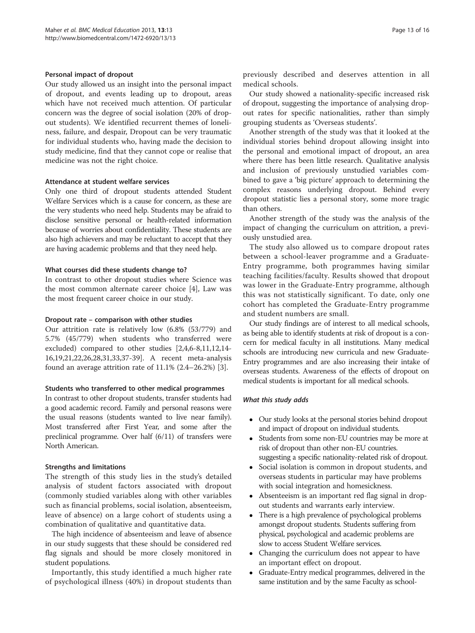#### Personal impact of dropout

Our study allowed us an insight into the personal impact of dropout, and events leading up to dropout, areas which have not received much attention. Of particular concern was the degree of social isolation (20% of dropout students). We identified recurrent themes of loneliness, failure, and despair, Dropout can be very traumatic for individual students who, having made the decision to study medicine, find that they cannot cope or realise that medicine was not the right choice.

#### Attendance at student welfare services

Only one third of dropout students attended Student Welfare Services which is a cause for concern, as these are the very students who need help. Students may be afraid to disclose sensitive personal or health-related information because of worries about confidentiality. These students are also high achievers and may be reluctant to accept that they are having academic problems and that they need help.

#### What courses did these students change to?

In contrast to other dropout studies where Science was the most common alternate career choice [\[4](#page-14-0)], Law was the most frequent career choice in our study.

#### Dropout rate – comparison with other studies

Our attrition rate is relatively low (6.8% (53/779) and 5.7% (45/779) when students who transferred were excluded) compared to other studies [[2](#page-14-0),[4,6-8,11,12,14-](#page-14-0) [16,19](#page-14-0),[21](#page-14-0),[22](#page-14-0),[26](#page-14-0),[28,31,33](#page-14-0)[,37](#page-15-0)-[39\]](#page-15-0). A recent meta-analysis found an average attrition rate of 11.1% (2.4–26.2%) [\[3\]](#page-14-0).

#### Students who transferred to other medical programmes

In contrast to other dropout students, transfer students had a good academic record. Family and personal reasons were the usual reasons (students wanted to live near family). Most transferred after First Year, and some after the preclinical programme. Over half (6/11) of transfers were North American.

## Strengths and limitations

The strength of this study lies in the study's detailed analysis of student factors associated with dropout (commonly studied variables along with other variables such as financial problems, social isolation, absenteeism, leave of absence) on a large cohort of students using a combination of qualitative and quantitative data.

The high incidence of absenteeism and leave of absence in our study suggests that these should be considered red flag signals and should be more closely monitored in student populations.

Importantly, this study identified a much higher rate of psychological illness (40%) in dropout students than

previously described and deserves attention in all medical schools.

Our study showed a nationality-specific increased risk of dropout, suggesting the importance of analysing dropout rates for specific nationalities, rather than simply grouping students as 'Overseas students'.

Another strength of the study was that it looked at the individual stories behind dropout allowing insight into the personal and emotional impact of dropout, an area where there has been little research. Qualitative analysis and inclusion of previously unstudied variables combined to gave a 'big picture' approach to determining the complex reasons underlying dropout. Behind every dropout statistic lies a personal story, some more tragic than others.

Another strength of the study was the analysis of the impact of changing the curriculum on attrition, a previously unstudied area.

The study also allowed us to compare dropout rates between a school-leaver programme and a Graduate-Entry programme, both programmes having similar teaching facilities/faculty. Results showed that dropout was lower in the Graduate-Entry programme, although this was not statistically significant. To date, only one cohort has completed the Graduate-Entry programme and student numbers are small.

Our study findings are of interest to all medical schools, as being able to identify students at risk of dropout is a concern for medical faculty in all institutions. Many medical schools are introducing new curricula and new Graduate-Entry programmes and are also increasing their intake of overseas students. Awareness of the effects of dropout on medical students is important for all medical schools.

## What this study adds

- Our study looks at the personal stories behind dropout and impact of dropout on individual students.
- Students from some non-EU countries may be more at risk of dropout than other non-EU countries. suggesting a specific nationality-related risk of dropout.
- Social isolation is common in dropout students, and overseas students in particular may have problems with social integration and homesickness.
- Absenteeism is an important red flag signal in dropout students and warrants early interview.
- There is a high prevalence of psychological problems amongst dropout students. Students suffering from physical, psychological and academic problems are slow to access Student Welfare services.
- Changing the curriculum does not appear to have an important effect on dropout.
- Graduate-Entry medical programmes, delivered in the same institution and by the same Faculty as school-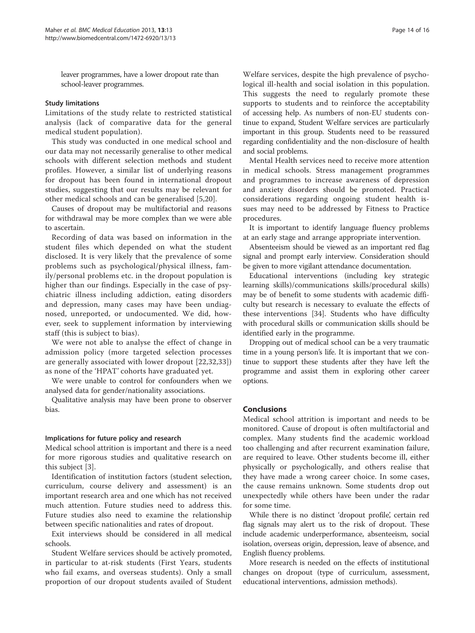leaver programmes, have a lower dropout rate than school-leaver programmes.

#### Study limitations

Limitations of the study relate to restricted statistical analysis (lack of comparative data for the general medical student population).

This study was conducted in one medical school and our data may not necessarily generalise to other medical schools with different selection methods and student profiles. However, a similar list of underlying reasons for dropout has been found in international dropout studies, suggesting that our results may be relevant for other medical schools and can be generalised [[5,20\]](#page-14-0).

Causes of dropout may be multifactorial and reasons for withdrawal may be more complex than we were able to ascertain.

Recording of data was based on information in the student files which depended on what the student disclosed. It is very likely that the prevalence of some problems such as psychological/physical illness, family/personal problems etc. in the dropout population is higher than our findings. Especially in the case of psychiatric illness including addiction, eating disorders and depression, many cases may have been undiagnosed, unreported, or undocumented. We did, however, seek to supplement information by interviewing staff (this is subject to bias).

We were not able to analyse the effect of change in admission policy (more targeted selection processes are generally associated with lower dropout [[22,32,33](#page-14-0)]) as none of the 'HPAT' cohorts have graduated yet.

We were unable to control for confounders when we analysed data for gender/nationality associations.

Qualitative analysis may have been prone to observer bias.

#### Implications for future policy and research

Medical school attrition is important and there is a need for more rigorous studies and qualitative research on this subject [[3\]](#page-14-0).

Identification of institution factors (student selection, curriculum, course delivery and assessment) is an important research area and one which has not received much attention. Future studies need to address this. Future studies also need to examine the relationship between specific nationalities and rates of dropout.

Exit interviews should be considered in all medical schools.

Student Welfare services should be actively promoted, in particular to at-risk students (First Years, students who fail exams, and overseas students). Only a small proportion of our dropout students availed of Student

Welfare services, despite the high prevalence of psychological ill-health and social isolation in this population. This suggests the need to regularly promote these supports to students and to reinforce the acceptability of accessing help. As numbers of non-EU students continue to expand, Student Welfare services are particularly important in this group. Students need to be reassured regarding confidentiality and the non-disclosure of health and social problems.

Mental Health services need to receive more attention in medical schools. Stress management programmes and programmes to increase awareness of depression and anxiety disorders should be promoted. Practical considerations regarding ongoing student health issues may need to be addressed by Fitness to Practice procedures.

It is important to identify language fluency problems at an early stage and arrange appropriate intervention.

Absenteeism should be viewed as an important red flag signal and prompt early interview. Consideration should be given to more vigilant attendance documentation.

Educational interventions (including key strategic learning skills)/communications skills/procedural skills) may be of benefit to some students with academic difficulty but research is necessary to evaluate the effects of these interventions [[34\]](#page-14-0). Students who have difficulty with procedural skills or communication skills should be identified early in the programme.

Dropping out of medical school can be a very traumatic time in a young person's life. It is important that we continue to support these students after they have left the programme and assist them in exploring other career options.

## Conclusions

Medical school attrition is important and needs to be monitored. Cause of dropout is often multifactorial and complex. Many students find the academic workload too challenging and after recurrent examination failure, are required to leave. Other students become ill, either physically or psychologically, and others realise that they have made a wrong career choice. In some cases, the cause remains unknown. Some students drop out unexpectedly while others have been under the radar for some time.

While there is no distinct 'dropout profile', certain red flag signals may alert us to the risk of dropout. These include academic underperformance, absenteeism, social isolation, overseas origin, depression, leave of absence, and English fluency problems.

More research is needed on the effects of institutional changes on dropout (type of curriculum, assessment, educational interventions, admission methods).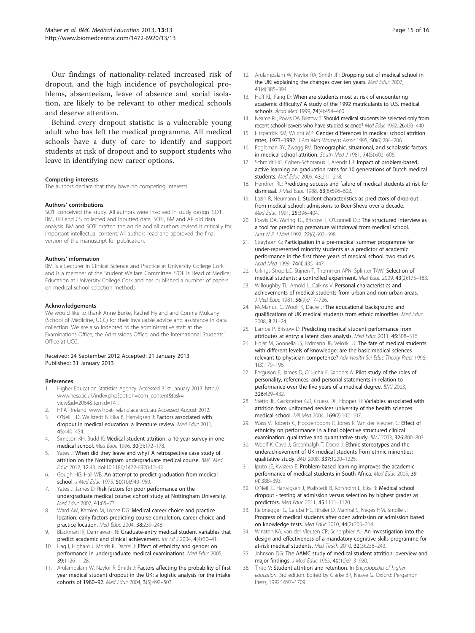<span id="page-14-0"></span>Our findings of nationality-related increased risk of dropout, and the high incidence of psychological problems, absenteeism, leave of absence and social isolation, are likely to be relevant to other medical schools and deserve attention.

Behind every dropout statistic is a vulnerable young adult who has left the medical programme. All medical schools have a duty of care to identify and support students at risk of dropout and to support students who leave in identifying new career options.

#### Competing interests

The authors declare that they have no competing interests.

#### Authors' contributions

SO'F conceived the study. All authors were involved in study design. SO'F, BM, HH and CS collected and inputted data. SO'F, BM and AK did data analysis. BM and SO'F drafted the article and all authors revised it critically for important intellectual content. All authors read and approved the final version of the manuscript for publication.

#### Authors' information

BM is a Lecturer in Clinical Science and Practice at University College Cork and is a member of the Student Welfare Committee. S'OF is Head of Medical Education at University College Cork and has published a number of papers on medical school selection methods.

#### Acknowledgements

We would like to thank Anne Burke, Rachel Hyland and Connie Mulcahy (School of Medicine, UCC) for their invaluable advice and assistance in data collection. We are also indebted to the administrative staff at the Examinations Office, the Admissions Office, and the International Students' Office at UCC.

#### Received: 24 September 2012 Accepted: 21 January 2013 Published: 31 January 2013

#### References

- 1. Higher Education Statistics Agency. Accessed 31st January 2013. [http://](http://www.hesa.ac.uk/index.php?option=com_content&task=view&id=2064&Itemid=141/) [www.hesa.ac.uk/index.php?option=com\\_content&task=](http://www.hesa.ac.uk/index.php?option=com_content&task=view&id=2064&Itemid=141/) [view&id=2064&Itemid=141.](http://www.hesa.ac.uk/index.php?option=com_content&task=view&id=2064&Itemid=141/)
- 2. HPAT Ireland: [www.hpat-ireland.acer.edu.au](http://www.hpat-ireland.acer.edu.au/) Accessed August 2012.
- O'Neill LD, Wallstedt B, Eika B, Hartvigsen J: Factors associated with dropout in medical education: a literature review. Med Educ 2011, 45:440–454.
- 4. Simpson KH, Budd K: Medical student attrition: a 10-year survey in one medical school. Med Educ 1996, 30(3):172–178.
- 5. Yates J: When did they leave and why? A retrospective case study of attrition on the Nottingham undergraduate medical course. BMC Med Educ 2012, 12:43. doi[:10.1186/1472-6920-12-43](http://dx.doi.org/10.1186/1472-6920-12-43).
- 6. Gough HG, Hall WB: An attempt to predict graduation from medical school. *J Med Educ* 1975, 50(10):940-950.
- 7. Yates J, James D: Risk factors for poor performance on the undergraduate medical course: cohort study at Nottingham University. Med Educ 2007, 41:65–73.
- Ward AM, Kamien M, Lopez DG: Medical career choice and practice location: early factors predicting course completion, career choice and practice location. Med Educ 2004, 38:239–248.
- 9. Blackman IR, Darmawan IN: Graduate-entry medical student variables that predict academic and clinical achievement. Int Ed J 2004, 4(4):30-41.
- 10. Haq I, Higham J, Morris R, Dacrel J: Effect of ethnicity and gender on performance in undergraduate medical examinations. Med Educ 2005, 39:1126–1128.
- 11. Arulampalam W, Naylor R, Smith J: Factors affecting the probability of first year medical student dropout in the UK: a logistic analysis for the intake cohorts of 1980–92. Med Educ 2004, 3(5):492–503.
- 12. Arulampalam W, Naylor RA, Smith JP: Dropping out of medical school in the UK: explaining the changes over ten years. Med Educ 2007, 41(4):385–394.
- 13. Huff KL, Fang D: When are students most at risk of encountering academic difficulty? A study of the 1992 matriculants to U.S. medical schools. Acad Med 1999, 74(4):454–460.
- 14. Neame RL, Powis DA, Bristow T: Should medical students be selected only from recent school-leavers who have studied science? Med Educ 1992, 26:433-440.
- 15. Fitzpatrick KM, Wright MP: Gender differences in medical school attrition rates, 1973–1992. J Am Med Womens Assoc 1995, 50(6):204–206.
- 16. Fogleman BY, Zwagg RV: Demographic, situational, and scholastic factors in medical school attrition. South Med J 1981, 74(5):602-606.
- 17. Schmidt HG, Cohen-Schotanus J, Arends LR: Impact of problem-based, active learning on graduation rates for 10 generations of Dutch medical students. Med Educ 2009, 43:211–218.
- 18. Hendren RL: Predicting success and failure of medical students at risk for dismissal. J Med Educ 1988, 63(8):596–602.
- 19. Lazin R, Neumann L: Student characteristics as predictors of drop-out from medical school: admissions to Beer-Sheva over a decade. Med Educ 1991, 25:396–404.
- 20. Powis DA, Waring TC, Bristow T, O'Connell DL: The structured interview as a tool for predicting premature withdrawal from medical school. Aust N Z J Med 1992, 22(6):692–698.
- 21. Strayhorn G: Participation in a pre-medical summer programme for under-represented minority students as a predictor of academic performance in the first three years of medical school: two studies. Acad Med 1999, 74(4):435–447.
- 22. Urlings-Strop LC, Stijnen T, Themmen APN, Splinter TAW: Selection of medical students: a controlled experiment. Med Educ 2009, 43(2):175–183.
- 23. Willoughby TL, Arnold L, Calkins V: Personal characteristics and achievements of medical students from urban and non-urban areas. J Med Educ 1981, 56(9):717-726.
- 24. McManus IC, Woolf K, Dacre J: The educational background and qualifications of UK medical students from ethnic minorities. Med Educ 2008, 8:21–24.
- 25. Lambe P, Bristow D: Predicting medical student performance from attributes at entry: a latent class analysis. Med Educ 2011, 45:308-316.
- 26. Hojat M, Gonnella JS, Erdmann JB, Veloski JJ: The fate of medical students with different levels of knowledge: are the basic medical sciences relevant to physician competence? Adv Health Sci Educ Theory Pract 1996, 1(3):179–196.
- 27. Ferguson E, James D, O' Hehir F, Sanders A: Pilot study of the roles of personality, references, and personal statements in relation to performance over the five years of a medical degree. BMJ 2003, 326:429–432.
- 28. Stetto JE, Gackstetter GD, Cruess DF, Hooper TI: Variables associated with attrition from uniformed services university of the health sciences medical school. Mil Med 2004, 169(2):102–107.
- 29. Wass V, Roberts C, Hoogenboom R, Jones R, Van der Vleuten C: Effect of ethnicity on performance in a final objective structured clinical examination: qualitative and quantitative study. BMJ 2003, 326:800–803.
- 30. Woolf K, Cave J, Greenhalgh T, Dacre J: Ethnic stereotypes and the underachievement of UK medical students from ethnic minorities: qualitative study. BMJ 2008, 337:1220-1225
- 31. Iputo JE, Kwizera E: Problem-based learning improves the academic performance of medical students in South Africa. Med Educ 2005, 39 (4):388–393.
- 32. O'Neill L, Hartvigsen J, Wallstedt B, Korsholm L, Eika B: Medical school dropout - testing at admission versus selection by highest grades as predictors. Med Educ 2011, 45:1111–1120.
- Reibnegger G, Caluba HC, Ithaler D, Manhal S, Neges HM, Smolle J: Progress of medical students after open admission or admission based on knowledge tests. Med Educ 2010, 44(2):205–214.
- 34. Winston KA, van der Vleuten CP, Scherpbier AJ: An investigation into the design and effectiveness of a mandatory cognitive skills programme for at-risk medical students. Med Teach 2010, 32(3):236–243.
- 35. Johnson DG: The AAMC study of medical student attrition: overview and major findings. J Med Educ 1965, 40(10):913–920.
- 36. Tinto V: Student attrition and retention. In Encyclopedia of higher education. 3rd edition. Edited by Clarke BR, Neave G. Oxford: Pergamon Press; 1992:1697–1709.